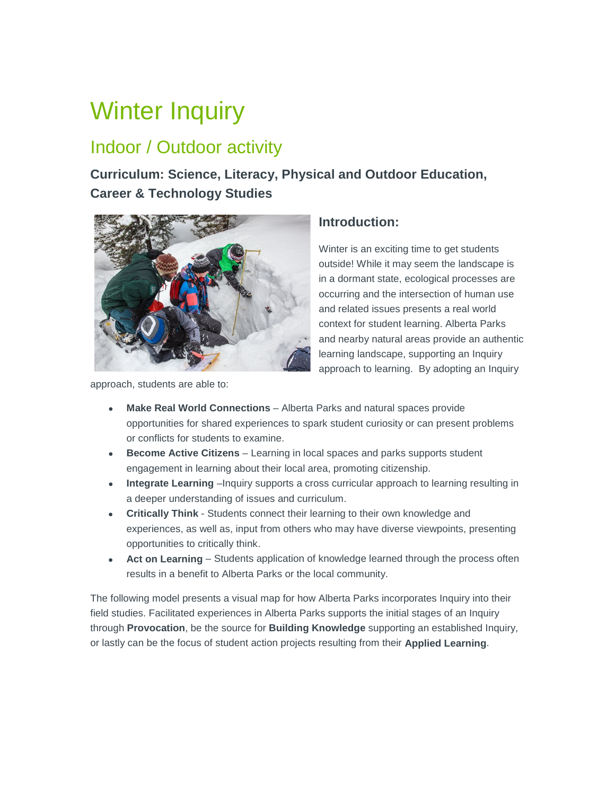# Winter Inquiry

## Indoor / Outdoor activity

**Curriculum: Science, Literacy, Physical and Outdoor Education, Career & Technology Studies** 



approach, students are able to:

### **Introduction:**

Winter is an exciting time to get students outside! While it may seem the landscape is in a dormant state, ecological processes are occurring and the intersection of human use and related issues presents a real world context for student learning. Alberta Parks and nearby natural areas provide an authentic learning landscape, supporting an Inquiry approach to learning. By adopting an Inquiry

- **Make Real World Connections** Alberta Parks and natural spaces provide opportunities for shared experiences to spark student curiosity or can present problems or conflicts for students to examine.
- **Become Active Citizens** Learning in local spaces and parks supports student engagement in learning about their local area, promoting citizenship.
- **Integrate Learning** –Inquiry supports a cross curricular approach to learning resulting in a deeper understanding of issues and curriculum.
- **Critically Think** Students connect their learning to their own knowledge and experiences, as well as, input from others who may have diverse viewpoints, presenting opportunities to critically think.
- **Act on Learning** Students application of knowledge learned through the process often results in a benefit to Alberta Parks or the local community.

The following model presents a visual map for how Alberta Parks incorporates Inquiry into their field studies. Facilitated experiences in Alberta Parks supports the initial stages of an Inquiry through **Provocation**, be the source for **Building Knowledge** supporting an established Inquiry, or lastly can be the focus of student action projects resulting from their **Applied Learning**.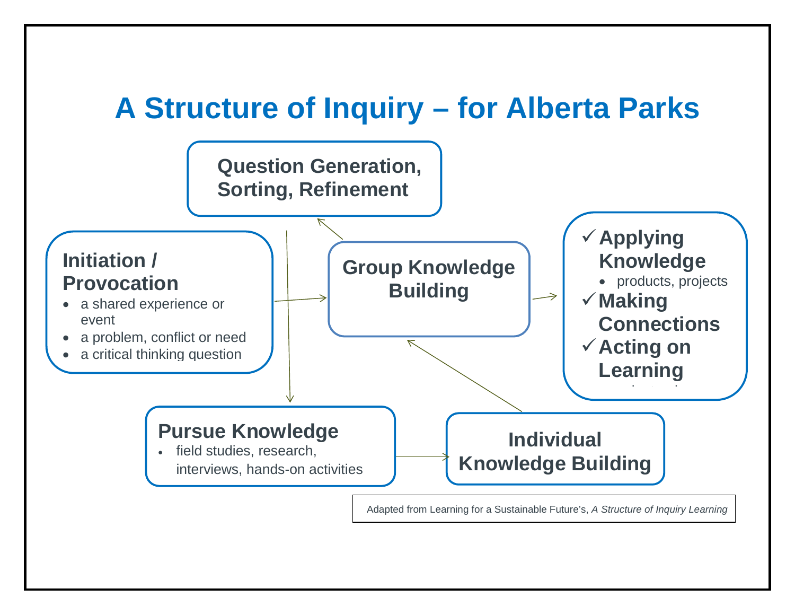